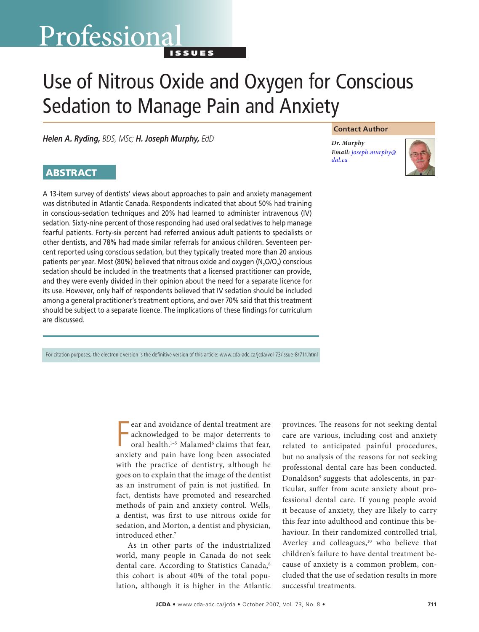# Professional

I s s u e s

# Use of Nitrous Oxide and Oxygen for Conscious Sedation to Manage Pain and Anxiety

*Helen A. Ryding, BDS, MSc; H. Joseph Murphy, EdD*

#### **Contact Author**

*Dr. Murphy Email: [joseph.murphy@](mailto:jospeh.murphy@dal.ca) dal.ca*



## **ABSTRACT**

A 13-item survey of dentists' views about approaches to pain and anxiety management was distributed in Atlantic Canada. Respondents indicated that about 50% had training in conscious-sedation techniques and 20% had learned to administer intravenous (IV) sedation. Sixty-nine percent of those responding had used oral sedatives to help manage fearful patients. Forty-six percent had referred anxious adult patients to specialists or other dentists, and 78% had made similar referrals for anxious children. Seventeen percent reported using conscious sedation, but they typically treated more than 20 anxious patients per year. Most (80%) believed that nitrous oxide and oxygen ( $N, O/O<sub>2</sub>$ ) conscious sedation should be included in the treatments that a licensed practitioner can provide, and they were evenly divided in their opinion about the need for a separate licence for its use. However, only half of respondents believed that IV sedation should be included among a general practitioner's treatment options, and over 70% said that this treatment should be subject to a separate licence. The implications of these findings for curriculum are discussed.

For citation purposes, the electronic version is the definitive version of this article: www.cda-adc.ca/jcda/vol-73/issue-8/711.html

F ear and avoidance of dental treatment are acknowledged to be major deterrents to oral health.<sup>1-5</sup> Malamed<sup>6</sup> claims that fear, anxiety and pain have long been associated with the practice of dentistry, although he goes on to explain that the image of the dentist as an instrument of pain is not justified. In fact, dentists have promoted and researched methods of pain and anxiety control. Wells, a dentist, was first to use nitrous oxide for sedation, and Morton, a dentist and physician, introduced ether.<sup>7</sup>

As in other parts of the industrialized world, many people in Canada do not seek dental care. According to Statistics Canada,<sup>8</sup> this cohort is about 40% of the total population, although it is higher in the Atlantic provinces. The reasons for not seeking dental care are various, including cost and anxiety related to anticipated painful procedures, but no analysis of the reasons for not seeking professional dental care has been conducted. Donaldson<sup>9</sup> suggests that adolescents, in particular, suffer from acute anxiety about professional dental care. If young people avoid it because of anxiety, they are likely to carry this fear into adulthood and continue this behaviour. In their randomized controlled trial, Averley and colleagues,<sup>10</sup> who believe that children's failure to have dental treatment because of anxiety is a common problem, concluded that the use of sedation results in more successful treatments.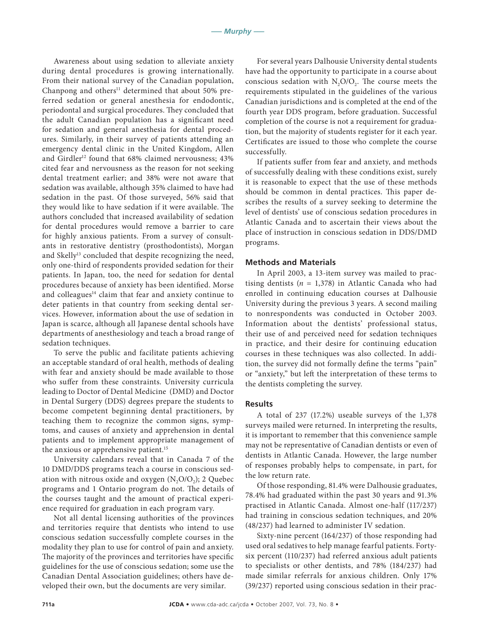Awareness about using sedation to alleviate anxiety during dental procedures is growing internationally. From their national survey of the Canadian population, Chanpong and others<sup>11</sup> determined that about 50% preferred sedation or general anesthesia for endodontic, periodontal and surgical procedures. They concluded that the adult Canadian population has a significant need for sedation and general anesthesia for dental procedures. Similarly, in their survey of patients attending an emergency dental clinic in the United Kingdom, Allen and Girdler<sup>12</sup> found that 68% claimed nervousness; 43% cited fear and nervousness as the reason for not seeking dental treatment earlier; and 38% were not aware that sedation was available, although 35% claimed to have had sedation in the past. Of those surveyed, 56% said that they would like to have sedation if it were available. The authors concluded that increased availability of sedation for dental procedures would remove a barrier to care for highly anxious patients. From a survey of consultants in restorative dentistry (prosthodontists), Morgan and Skelly<sup>13</sup> concluded that despite recognizing the need, only one-third of respondents provided sedation for their patients. In Japan, too, the need for sedation for dental procedures because of anxiety has been identified. Morse and colleagues<sup>14</sup> claim that fear and anxiety continue to deter patients in that country from seeking dental services. However, information about the use of sedation in Japan is scarce, although all Japanese dental schools have departments of anesthesiology and teach a broad range of sedation techniques.

To serve the public and facilitate patients achieving an acceptable standard of oral health, methods of dealing with fear and anxiety should be made available to those who suffer from these constraints. University curricula leading to Doctor of Dental Medicine (DMD) and Doctor in Dental Surgery (DDS) degrees prepare the students to become competent beginning dental practitioners, by teaching them to recognize the common signs, symptoms, and causes of anxiety and apprehension in dental patients and to implement appropriate management of the anxious or apprehensive patient.<sup>15</sup>

University calendars reveal that in Canada 7 of the 10 DMD/DDS programs teach a course in conscious sedation with nitrous oxide and oxygen  $(N, O/O<sub>2</sub>)$ ; 2 Quebec programs and 1 Ontario program do not. The details of the courses taught and the amount of practical experience required for graduation in each program vary.

Not all dental licensing authorities of the provinces and territories require that dentists who intend to use conscious sedation successfully complete courses in the modality they plan to use for control of pain and anxiety. The majority of the provinces and territories have specific guidelines for the use of conscious sedation; some use the Canadian Dental Association guidelines; others have developed their own, but the documents are very similar.

For several years Dalhousie University dental students have had the opportunity to participate in a course about conscious sedation with  $N_2O/O_2$ . The course meets the requirements stipulated in the guidelines of the various Canadian jurisdictions and is completed at the end of the fourth year DDS program, before graduation. Successful completion of the course is not a requirement for graduation, but the majority of students register for it each year. Certificates are issued to those who complete the course successfully.

If patients suffer from fear and anxiety, and methods of successfully dealing with these conditions exist, surely it is reasonable to expect that the use of these methods should be common in dental practices. This paper describes the results of a survey seeking to determine the level of dentists' use of conscious sedation procedures in Atlantic Canada and to ascertain their views about the place of instruction in conscious sedation in DDS/DMD programs.

#### **Methods and Materials**

In April 2003, a 13-item survey was mailed to practising dentists  $(n = 1,378)$  in Atlantic Canada who had enrolled in continuing education courses at Dalhousie University during the previous 3 years. A second mailing to nonrespondents was conducted in October 2003. Information about the dentists' professional status, their use of and perceived need for sedation techniques in practice, and their desire for continuing education courses in these techniques was also collected. In addition, the survey did not formally define the terms "pain" or "anxiety," but left the interpretation of these terms to the dentists completing the survey.

#### **Results**

A total of 237 (17.2%) useable surveys of the 1,378 surveys mailed were returned. In interpreting the results, it is important to remember that this convenience sample may not be representative of Canadian dentists or even of dentists in Atlantic Canada. However, the large number of responses probably helps to compensate, in part, for the low return rate.

Of those responding, 81.4% were Dalhousie graduates, 78.4% had graduated within the past 30 years and 91.3% practised in Atlantic Canada. Almost one-half (117/237) had training in conscious sedation techniques, and 20% (48/237) had learned to administer IV sedation.

Sixty-nine percent (164/237) of those responding had used oral sedatives to help manage fearful patients. Fortysix percent (110/237) had referred anxious adult patients to specialists or other dentists, and 78% (184/237) had made similar referrals for anxious children. Only 17% (39/237) reported using conscious sedation in their prac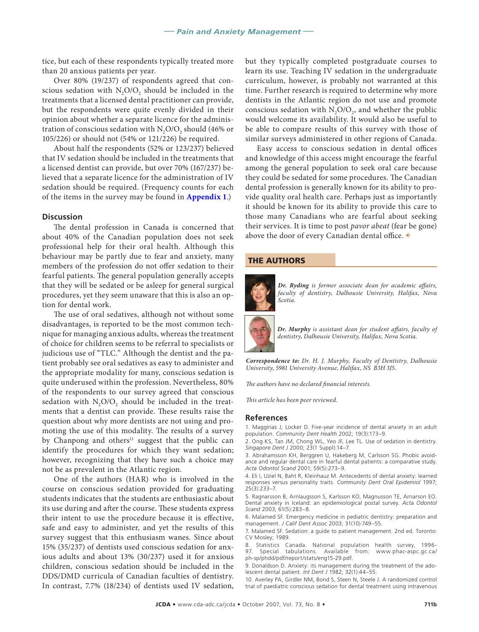tice, but each of these respondents typically treated more than 20 anxious patients per year.

Over 80% (19/237) of respondents agreed that conscious sedation with  $N_2O/O_2$  should be included in the treatments that a licensed dental practitioner can provide, but the respondents were quite evenly divided in their opinion about whether a separate licence for the administration of conscious sedation with  $N_2O/O_2$  should (46% or 105/226) or should not (54% or 121/226) be required.

About half the respondents (52% or 123/237) believed that IV sedation should be included in the treatments that a licensed dentist can provide, but over 70% (167/237) believed that a separate licence for the administration of IV sedation should be required. (Frequency counts for each of the items in the survey may be found in **[Appendix 1](711_appendix.pdf)**.)

#### **Discussion**

The dental profession in Canada is concerned that about 40% of the Canadian population does not seek professional help for their oral health. Although this behaviour may be partly due to fear and anxiety, many members of the profession do not offer sedation to their fearful patients. The general population generally accepts that they will be sedated or be asleep for general surgical procedures, yet they seem unaware that this is also an option for dental work.

The use of oral sedatives, although not without some disadvantages, is reported to be the most common technique for managing anxious adults, whereas the treatment of choice for children seems to be referral to specialists or judicious use of "TLC." Although the dentist and the patient probably see oral sedatives as easy to administer and the appropriate modality for many, conscious sedation is quite underused within the profession. Nevertheless, 80% of the respondents to our survey agreed that conscious sedation with  $N_2O/O_2$  should be included in the treatments that a dentist can provide. These results raise the question about why more dentists are not using and promoting the use of this modality. The results of a survey by Chanpong and others<sup>11</sup> suggest that the public can identify the procedures for which they want sedation; however, recognizing that they have such a choice may not be as prevalent in the Atlantic region.

One of the authors (HAR) who is involved in the course on conscious sedation provided for graduating students indicates that the students are enthusiastic about its use during and after the course. These students express their intent to use the procedure because it is effective, safe and easy to administer, and yet the results of this survey suggest that this enthusiasm wanes. Since about 15% (35/237) of dentists used conscious sedation for anxious adults and about 13% (30/237) used it for anxious children, conscious sedation should be included in the DDS/DMD curricula of Canadian faculties of dentistry. In contrast, 7.7% (18/234) of dentists used IV sedation, but they typically completed postgraduate courses to learn its use. Teaching IV sedation in the undergraduate curriculum, however, is probably not warranted at this time. Further research is required to determine why more dentists in the Atlantic region do not use and promote conscious sedation with  $N_2O/O_2$ , and whether the public would welcome its availability. It would also be useful to be able to compare results of this survey with those of similar surveys administered in other regions of Canada.

Easy access to conscious sedation in dental offices and knowledge of this access might encourage the fearful among the general population to seek oral care because they could be sedated for some procedures. The Canadian dental profession is generally known for its ability to provide quality oral health care. Perhaps just as importantly it should be known for its ability to provide this care to those many Canadians who are fearful about seeking their services. It is time to post *pavor abeat* (fear be gone) above the door of every Canadian dental office.  $\blacklozenge$ 

#### THE AUTHORS



*Dr. Ryding is former associate dean for academic affairs, faculty of dentistry, Dalhousie University, Halifax, Nova Scotia.*

*Dr. Murphy is assistant dean for student affairs, faculty of dentistry, Dalhousie University, Halifax, Nova Scotia.* 

*Correspondence to: Dr. H. J. Murphy, Faculty of Dentistry, Dalhousie University, 5981 University Avenue, Halifax, NS B3H 3J5.*

*The authors have no declared financial interests.*

*This article has been peer reviewed.*

#### **References**

1. Maggirias J, Locker D. Five-year incidence of dental anxiety in an adult population. *Community Dent Health* 2002; 19(3):173–9.

2. Ong KS, Tan JM, Chong WL, Yeo JF, Lee TL. Use of sedation in dentistry. *Singapore Dent J* 2000; 23(1 Suppl):14–7.

3. Abrahamsson KH, Berggren U, Hakeberg M, Carlsson SG. Phobic avoidance and regular dental care in fearful dental patients: a comparative study. *Acta Odontol Scand* 2001; 59(5):273–9.

4. Eli I, Uziel N, Baht R, Kleinhauz M. Antecedents of dental anxiety: learned responses versus personality traits. *Community Dent Oral Epidemiol* 1997; 25(3):233–7.

5. Ragnarsson B, Arnlaugsson S, Karlsson KO, Magnusson TE, Arnarson EO. Dental anxiety in Iceland: an epidemiological postal survey. *Acta Odontol Scand* 2003; 61(5):283–8.

6. Malamed SF. Emergency medicine in pediatric dentistry: preparation and management. *J Calif Dent Assoc* 2003; 31(10):749–55.

7. Malamed SF. Sedation: a guide to patient management. 2nd ed. Toronto: CV Mosley; 1989.

8. Statistics Canada. National population health survey, 1996-<br>97. Special tabulations. Available from: www.phac-aspc.gc.ca/ Special tabulations. Available from: ph-sp/phdd/pdf/report/stats/eng15-29.pdf.

9. Donaldson D. Anxiety: its management during the treatment of the adolescent dental patient. *Int Dent J* 1982; 32(1):44–55.

10. Averley PA, Girdler NM, Bond S, Steen N, Steele J. A randomized control trial of paediatric conscious sedation for dental treatment using intravenous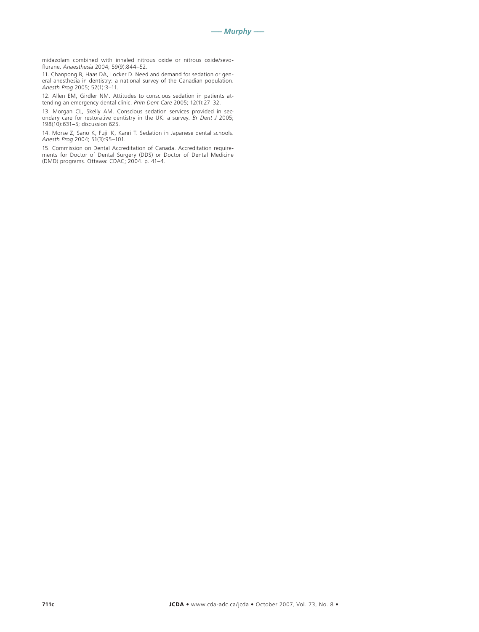midazolam combined with inhaled nitrous oxide or nitrous oxide/sevoflurane. *Anaesthesia* 2004; 59(9):844–52.

11. Chanpong B, Haas DA, Locker D. Need and demand for sedation or general anesthesia in dentistry: a national survey of the Canadian population. *Anesth Prog* 2005; 52(1):3–11.

12. Allen EM, Girdler NM. Attitudes to conscious sedation in patients attending an emergency dental clinic. *Prim Dent Care* 2005; 12(1):27–32.

13. Morgan CL, Skelly AM. Conscious sedation services provided in secondary care for restorative dentistry in the UK: a survey. *Br Dent J* 2005; 198(10):631–5; discussion 625.

14. Morse Z, Sano K, Fujii K, Kanri T. Sedation in Japanese dental schools. *Anesth Prog* 2004; 51(3):95–101.

15. Commission on Dental Accreditation of Canada. Accreditation requirements for Doctor of Dental Surgery (DDS) or Doctor of Dental Medicine (DMD) programs. Ottawa: CDAC; 2004. p. 41–4.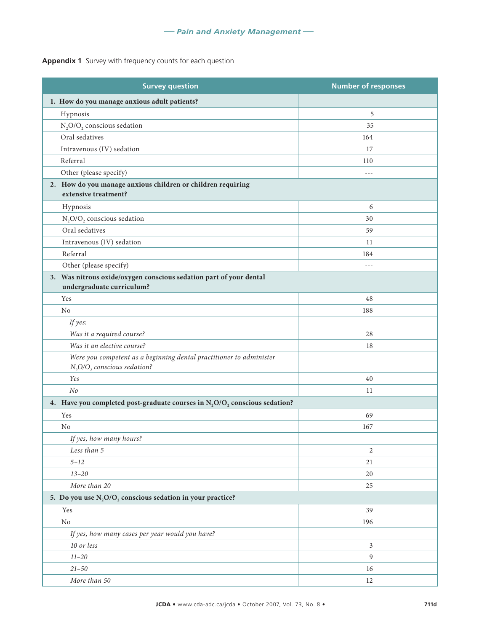### **Appendix 1** Survey with frequency counts for each question

| <b>Survey question</b>                                                                                            | <b>Number of responses</b> |  |  |
|-------------------------------------------------------------------------------------------------------------------|----------------------------|--|--|
| 1. How do you manage anxious adult patients?                                                                      |                            |  |  |
| Hypnosis                                                                                                          | 5                          |  |  |
| $N_2O/O_2$ conscious sedation                                                                                     | 35                         |  |  |
| Oral sedatives                                                                                                    | 164                        |  |  |
| Intravenous (IV) sedation                                                                                         | 17                         |  |  |
| Referral                                                                                                          | 110                        |  |  |
| Other (please specify)                                                                                            | $- - -$                    |  |  |
| 2. How do you manage anxious children or children requiring<br>extensive treatment?                               |                            |  |  |
| Hypnosis                                                                                                          | 6                          |  |  |
| $\mathrm{N}_2\mathrm{O}/\mathrm{O}_2$ conscious sedation                                                          | 30                         |  |  |
| Oral sedatives                                                                                                    | 59                         |  |  |
| Intravenous (IV) sedation                                                                                         | 11                         |  |  |
| Referral                                                                                                          | 184                        |  |  |
| Other (please specify)                                                                                            | $- - -$                    |  |  |
| 3. Was nitrous oxide/oxygen conscious sedation part of your dental<br>undergraduate curriculum?                   |                            |  |  |
| Yes                                                                                                               | 48                         |  |  |
| N <sub>o</sub>                                                                                                    | 188                        |  |  |
| If yes:                                                                                                           |                            |  |  |
| Was it a required course?                                                                                         | 28                         |  |  |
| Was it an elective course?                                                                                        | 18                         |  |  |
| Were you competent as a beginning dental practitioner to administer<br>$N_2$ O/O <sub>2</sub> conscious sedation? |                            |  |  |
| Yes                                                                                                               | 40                         |  |  |
| No                                                                                                                | 11                         |  |  |
| 4. Have you completed post-graduate courses in $N_2O/O_2$ conscious sedation?                                     |                            |  |  |
| Yes                                                                                                               | 69                         |  |  |
| N <sub>o</sub>                                                                                                    | 167                        |  |  |
| If yes, how many hours?                                                                                           |                            |  |  |
| Less than 5                                                                                                       | 2                          |  |  |
| $5 - 12$                                                                                                          | 21                         |  |  |
| $13 - 20$                                                                                                         | 20                         |  |  |
| More than 20                                                                                                      | 25                         |  |  |
| 5. Do you use $N_2O/O_2$ conscious sedation in your practice?                                                     |                            |  |  |
| Yes                                                                                                               | 39                         |  |  |
| No                                                                                                                | 196                        |  |  |
| If yes, how many cases per year would you have?                                                                   |                            |  |  |
| 10 or less                                                                                                        | 3                          |  |  |
| $11 - 20$                                                                                                         | $\boldsymbol{9}$           |  |  |
| $21 - 50$                                                                                                         | 16                         |  |  |
| More than 50                                                                                                      | 12                         |  |  |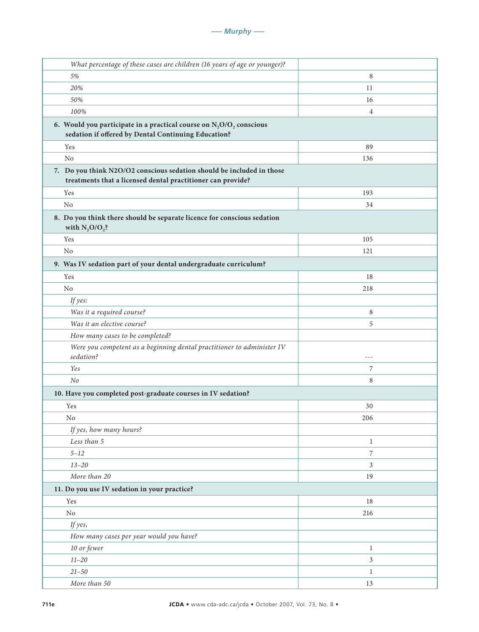| What percentage of these cases are children (16 years of age or younger)?                                                            |                |  |
|--------------------------------------------------------------------------------------------------------------------------------------|----------------|--|
| 5%                                                                                                                                   | 8              |  |
| 20%                                                                                                                                  | 11             |  |
| 50%                                                                                                                                  | 16             |  |
| 100%                                                                                                                                 | $\overline{4}$ |  |
| 6. Would you participate in a practical course on $N_2O/O_2$ conscious<br>sedation if offered by Dental Continuing Education?        |                |  |
| Yes                                                                                                                                  | 89             |  |
| No                                                                                                                                   | 136            |  |
| 7. Do you think N2O/O2 conscious sedation should be included in those<br>treatments that a licensed dental practitioner can provide? |                |  |
| Yes                                                                                                                                  | 193            |  |
| N <sub>o</sub>                                                                                                                       | 34             |  |
| 8. Do you think there should be separate licence for conscious sedation<br>with $N_2O/O_2$ ?                                         |                |  |
| Yes                                                                                                                                  | 105            |  |
| N <sub>o</sub>                                                                                                                       | 121            |  |
| 9. Was IV sedation part of your dental undergraduate curriculum?                                                                     |                |  |
| Yes                                                                                                                                  | 18             |  |
| N <sub>o</sub>                                                                                                                       | 218            |  |
| If yes:                                                                                                                              |                |  |
| Was it a required course?                                                                                                            | 8              |  |
| Was it an elective course?                                                                                                           | 5              |  |
| How many cases to be completed?                                                                                                      |                |  |
| Were you competent as a beginning dental practitioner to administer IV<br>sedation?                                                  | $- - -$        |  |
| Yes                                                                                                                                  | 7              |  |
| No                                                                                                                                   | 8              |  |
| 10. Have you completed post-graduate courses in IV sedation?                                                                         |                |  |
| Yes                                                                                                                                  | 30             |  |
| No                                                                                                                                   | 206            |  |
| If yes, how many hours?                                                                                                              |                |  |
| Less than 5                                                                                                                          | $\mathbf{1}$   |  |
| $5 - 12$                                                                                                                             | 7              |  |
| $13 - 20$                                                                                                                            | 3              |  |
| More than 20                                                                                                                         | 19             |  |
| 11. Do you use IV sedation in your practice?                                                                                         |                |  |
| Yes                                                                                                                                  | 18             |  |
| $\rm No$                                                                                                                             | 216            |  |
| If yes,                                                                                                                              |                |  |
| How many cases per year would you have?                                                                                              |                |  |
| 10 or fewer                                                                                                                          | $\mathbf{1}$   |  |
| $11 - 20$                                                                                                                            | $\mathfrak{Z}$ |  |
| $21 - 50$                                                                                                                            | $\mathbf{1}$   |  |
| More than 50                                                                                                                         | 13             |  |